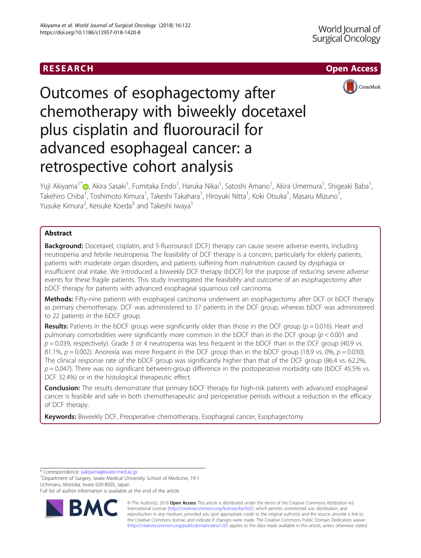# RESEARCH **RESEARCH CHOOSE ACCESS**



# Outcomes of esophagectomy after chemotherapy with biweekly docetaxel plus cisplatin and fluorouracil for advanced esophageal cancer: a retrospective cohort analysis

Yuji Akiyama<sup>1\*</sup>@[,](http://orcid.org/0000-0001-5658-7419) Akira Sasaki<sup>1</sup>, Fumitaka Endo<sup>1</sup>, Haruka Nikai<sup>1</sup>, Satoshi Amano<sup>1</sup>, Akira Umemura<sup>1</sup>, Shigeaki Baba<sup>1</sup> , Takehiro Chiba<sup>1</sup>, Toshimoto Kimura<sup>1</sup>, Takeshi Takahara<sup>1</sup>, Hiroyuki Nitta<sup>1</sup>, Koki Otsuka<sup>1</sup>, Masaru Mizuno<sup>1</sup> , Yusuke Kimura<sup>2</sup>, Keisuke Koeda<sup>3</sup> and Takeshi Iwaya<sup>1</sup>

# Abstract

Background: Docetaxel, cisplatin, and 5-fluorouracil (DCF) therapy can cause severe adverse events, including neutropenia and febrile neutropenia. The feasibility of DCF therapy is a concern, particularly for elderly patients, patients with moderate organ disorders, and patients suffering from malnutrition caused by dysphagia or insufficient oral intake. We introduced a biweekly DCF therapy (bDCF) for the purpose of reducing severe adverse events for these fragile patients. This study investigated the feasibility and outcome of an esophagectomy after bDCF therapy for patients with advanced esophageal squamous cell carcinoma.

**Methods:** Fifty-nine patients with esophageal carcinoma underwent an esophagectomy after DCF or bDCF therapy as primary chemotherapy. DCF was administered to 37 patients in the DCF group, whereas bDCF was administered to 22 patients in the bDCF group.

Results: Patients in the bDCF group were significantly older than those in the DCF group ( $p = 0.016$ ). Heart and pulmonary comorbidities were significantly more common in the bDCF than in the DCF group ( $p < 0.001$  and  $p = 0.039$ , respectively). Grade 3 or 4 neutropenia was less frequent in the bDCF than in the DCF group (40.9 vs. 81.1%,  $p = 0.002$ ). Anorexia was more frequent in the DCF group than in the bDCF group (18.9 vs. 0%,  $p = 0.030$ ). The clinical response rate of the bDCF group was significantly higher than that of the DCF group (86.4 vs. 62.2%,  $p = 0.047$ ). There was no significant between-group difference in the postoperative morbidity rate (bDCF 45.5% vs. DCF 32.4%) or in the histological therapeutic effect.

Conclusion: The results demonstrate that primary bDCF therapy for high-risk patients with advanced esophageal cancer is feasible and safe in both chemotherapeutic and perioperative periods without a reduction in the efficacy of DCF therapy.

Keywords: Biweekly DCF, Preoperative chemotherapy, Esophageal cancer, Esophagectomy

\* Correspondence: [yakiyama@iwate-med.ac.jp](mailto:yakiyama@iwate-med.ac.jp) <sup>1</sup>

Department of Surgery, Iwate Medical University School of Medicine, 19-1 Uchimaru, Morioka, Iwate 020-8505, Japan

Full list of author information is available at the end of the article



© The Author(s). 2018 Open Access This article is distributed under the terms of the Creative Commons Attribution 4.0 International License [\(http://creativecommons.org/licenses/by/4.0/](http://creativecommons.org/licenses/by/4.0/)), which permits unrestricted use, distribution, and reproduction in any medium, provided you give appropriate credit to the original author(s) and the source, provide a link to the Creative Commons license, and indicate if changes were made. The Creative Commons Public Domain Dedication waiver [\(http://creativecommons.org/publicdomain/zero/1.0/](http://creativecommons.org/publicdomain/zero/1.0/)) applies to the data made available in this article, unless otherwise stated.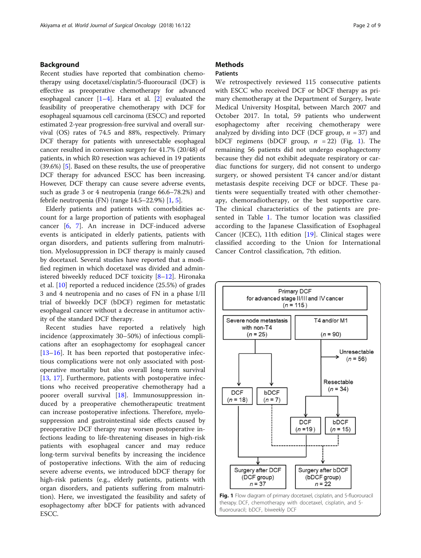# Background

Recent studies have reported that combination chemotherapy using docetaxel/cisplatin/5-fluorouracil (DCF) is effective as preoperative chemotherapy for advanced esophageal cancer  $[1-4]$  $[1-4]$  $[1-4]$ . Hara et al.  $[2]$  $[2]$  evaluated the feasibility of preoperative chemotherapy with DCF for esophageal squamous cell carcinoma (ESCC) and reported estimated 2-year progression-free survival and overall survival (OS) rates of 74.5 and 88%, respectively. Primary DCF therapy for patients with unresectable esophageal cancer resulted in conversion surgery for 41.7% (20/48) of patients, in which R0 resection was achieved in 19 patients (39.6%) [\[5\]](#page-7-0). Based on these results, the use of preoperative DCF therapy for advanced ESCC has been increasing. However, DCF therapy can cause severe adverse events, such as grade 3 or 4 neutropenia (range 66.6–78.2%) and febrile neutropenia (FN) (range  $14.5-22.9\%$  $14.5-22.9\%$ ) [1, [5\]](#page-7-0).

Elderly patients and patients with comorbidities account for a large proportion of patients with esophageal cancer [\[6](#page-7-0), [7](#page-7-0)]. An increase in DCF-induced adverse events is anticipated in elderly patients, patients with organ disorders, and patients suffering from malnutrition. Myelosuppression in DCF therapy is mainly caused by docetaxel. Several studies have reported that a modified regimen in which docetaxel was divided and administered biweekly reduced DCF toxicity [[8](#page-7-0)–[12](#page-7-0)]. Hironaka et al. [\[10](#page-7-0)] reported a reduced incidence (25.5%) of grades 3 and 4 neutropenia and no cases of FN in a phase I/II trial of biweekly DCF (bDCF) regimen for metastatic esophageal cancer without a decrease in antitumor activity of the standard DCF therapy.

Recent studies have reported a relatively high incidence (approximately 30–50%) of infectious complications after an esophagectomy for esophageal cancer  $[13–16]$  $[13–16]$  $[13–16]$  $[13–16]$  $[13–16]$ . It has been reported that postoperative infectious complications were not only associated with postoperative mortality but also overall long-term survival [[13,](#page-7-0) [17](#page-7-0)]. Furthermore, patients with postoperative infections who received preoperative chemotherapy had a poorer overall survival [\[18](#page-7-0)]. Immunosuppression induced by a preoperative chemotherapeutic treatment can increase postoperative infections. Therefore, myelosuppression and gastrointestinal side effects caused by preoperative DCF therapy may worsen postoperative infections leading to life-threatening diseases in high-risk patients with esophageal cancer and may reduce long-term survival benefits by increasing the incidence of postoperative infections. With the aim of reducing severe adverse events, we introduced bDCF therapy for high-risk patients (e.g., elderly patients, patients with organ disorders, and patients suffering from malnutrition). Here, we investigated the feasibility and safety of esophagectomy after bDCF for patients with advanced ESCC.

# **Methods**

# Patients

We retrospectively reviewed 115 consecutive patients with ESCC who received DCF or bDCF therapy as primary chemotherapy at the Department of Surgery, Iwate Medical University Hospital, between March 2007 and October 2017. In total, 59 patients who underwent esophagectomy after receiving chemotherapy were analyzed by dividing into DCF (DCF group,  $n = 37$ ) and bDCF regimens (bDCF group,  $n = 22$ ) (Fig. 1). The remaining 56 patients did not undergo esophagectomy because they did not exhibit adequate respiratory or cardiac functions for surgery, did not consent to undergo surgery, or showed persistent T4 cancer and/or distant metastasis despite receiving DCF or bDCF. These patients were sequentially treated with other chemotherapy, chemoradiotherapy, or the best supportive care. The clinical characteristics of the patients are presented in Table [1.](#page-2-0) The tumor location was classified according to the Japanese Classification of Esophageal Cancer (JCEC), 11th edition [[19](#page-7-0)]. Clinical stages were classified according to the Union for International Cancer Control classification, 7th edition.

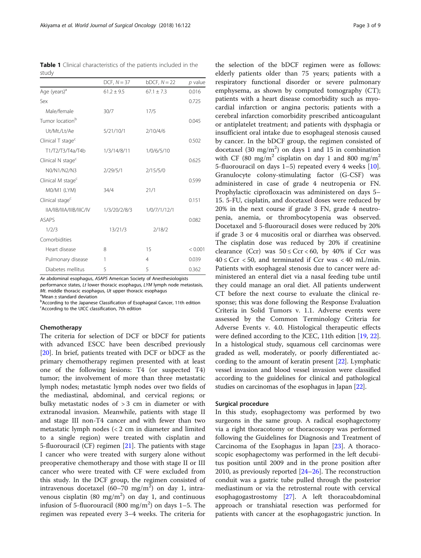<span id="page-2-0"></span>Table 1 Clinical characteristics of the patients included in the study

|                               | DCF, $N = 37$  | $bDCF$ , $N = 22$ | $p$ value |
|-------------------------------|----------------|-------------------|-----------|
| Age (years) <sup>a</sup>      | $61.2 \pm 9.5$ | $67.1 + 7.3$      | 0.016     |
| Sex                           |                |                   | 0.725     |
| Male/female                   | 30/7           | 17/5              |           |
| Tumor location <sup>b</sup>   |                |                   | 0.045     |
| Ut/Mt./Lt/Ae                  | 5/21/10/1      | 2/10/4/6          |           |
| Clinical T stage <sup>c</sup> |                |                   | 0.502     |
| T1/T2/T3/T4a/T4b              | 1/3/14/8/11    | 1/0/6/5/10        |           |
| Clinical N stage <sup>c</sup> |                |                   | 0.625     |
| N0/N1/N2/N3                   | 2/29/5/1       | 2/15/5/0          |           |
| Clinical M stage <sup>c</sup> |                |                   | 0.599     |
| MO/M1 (LYM)                   | 34/4           | 21/1              |           |
| Clinical stage <sup>c</sup>   |                |                   | 0.151     |
| IIA/IIB/IIIA/IIIB/IIIC/IV     | 1/3/20/2/8/3   | 1/0/7/1/12/1      |           |
| <b>ASAPS</b>                  |                |                   | 0.082     |
| 1/2/3                         | 13/21/3        | 2/18/2            |           |
| Comorbidities                 |                |                   |           |
| Heart disease                 | 8              | 15                | < 0.001   |
| Pulmonary disease             | 1              | $\overline{4}$    | 0.039     |
| Diabetes mellitus             | 5              | 5                 | 0.362     |

Ae abdominal esophagus, ASAPS American Society of Anesthesiologists performance states, Lt lower thoracic esophagus, LYM lymph node metastasis, Mt. middle thoracic esophagus,  $Ut$  upper thoracic esophagus

 $^{\circ}$ Mean  $\pm$  standard deviation

**b** According to the Japanese Classification of Esophageal Cancer, 11th edition <sup>c</sup>According to the UICC classification, 7th edition

# Chemotherapy

The criteria for selection of DCF or bDCF for patients with advanced ESCC have been described previously [[20\]](#page-7-0). In brief, patients treated with DCF or bDCF as the primary chemotherapy regimen presented with at least one of the following lesions: T4 (or suspected T4) tumor; the involvement of more than three metastatic lymph nodes; metastatic lymph nodes over two fields of the mediastinal, abdominal, and cervical regions; or bulky metastatic nodes of > 3 cm in diameter or with extranodal invasion. Meanwhile, patients with stage II and stage III non-T4 cancer and with fewer than two metastatic lymph nodes (< 2 cm in diameter and limited to a single region) were treated with cisplatin and 5-fluorouracil (CF) regimen [[21](#page-7-0)]. The patients with stage I cancer who were treated with surgery alone without preoperative chemotherapy and those with stage II or III cancer who were treated with CF were excluded from this study. In the DCF group, the regimen consisted of intravenous docetaxel (60–70 mg/m<sup>2</sup>) on day 1, intravenous cisplatin (80 mg/m<sup>2</sup>) on day 1, and continuous infusion of 5-fluorouracil (800 mg/m<sup>2</sup>) on days 1–5. The regimen was repeated every 3–4 weeks. The criteria for

the selection of the bDCF regimen were as follows: elderly patients older than 75 years; patients with a respiratory functional disorder or severe pulmonary emphysema, as shown by computed tomography (CT); patients with a heart disease comorbidity such as myocardial infarction or angina pectoris; patients with a cerebral infarction comorbidity prescribed anticoagulant or antiplatelet treatment; and patients with dysphagia or insufficient oral intake due to esophageal stenosis caused by cancer. In the bDCF group, the regimen consisted of docetaxel (30 mg/m<sup>2</sup>) on days 1 and 15 in combination with CF (80 mg/m<sup>2</sup> cisplatin on day 1 and 800 mg/m<sup>2</sup> 5-fluorouracil on days 1–5) repeated every 4 weeks [\[10](#page-7-0)]. Granulocyte colony-stimulating factor (G-CSF) was administered in case of grade 4 neutropenia or FN. Prophylactic ciprofloxacin was administered on days 5– 15. 5-FU, cisplatin, and docetaxel doses were reduced by 20% in the next course if grade 3 FN, grade 4 neutropenia, anemia, or thrombocytopenia was observed. Docetaxel and 5-fluorouracil doses were reduced by 20% if grade 3 or 4 mucositis oral or diarrhea was observed. The cisplatin dose was reduced by 20% if creatinine clearance (Ccr) was  $50 \leq Ccr < 60$ , by 40% if Ccr was  $40 \leq Ccr$  < 50, and terminated if Ccr was < 40 mL/min. Patients with esophageal stenosis due to cancer were administered an enteral diet via a nasal feeding tube until they could manage an oral diet. All patients underwent CT before the next course to evaluate the clinical response; this was done following the Response Evaluation Criteria in Solid Tumors v. 1.1. Adverse events were assessed by the Common Terminology Criteria for Adverse Events v. 4.0. Histological therapeutic effects were defined according to the JCEC, 11th edition [\[19,](#page-7-0) [22](#page-7-0)]. In a histological study, squamous cell carcinomas were graded as well, moderately, or poorly differentiated according to the amount of keratin present [\[22\]](#page-7-0). Lymphatic vessel invasion and blood vessel invasion were classified according to the guidelines for clinical and pathological studies on carcinomas of the esophagus in Japan [[22](#page-7-0)].

## Surgical procedure

In this study, esophagectomy was performed by two surgeons in the same group. A radical esophagectomy via a right thoracotomy or thoracoscopy was performed following the Guidelines for Diagnosis and Treatment of Carcinoma of the Esophagus in Japan [\[23\]](#page-7-0). A thoracoscopic esophagectomy was performed in the left decubitus position until 2009 and in the prone position after 2010, as previously reported [\[24](#page-7-0)–[26\]](#page-8-0). The reconstruction conduit was a gastric tube pulled through the posterior mediastinum or via the retrosternal route with cervical esophagogastrostomy [[27\]](#page-8-0). A left thoracoabdominal approach or transhiatal resection was performed for patients with cancer at the esophagogastric junction. In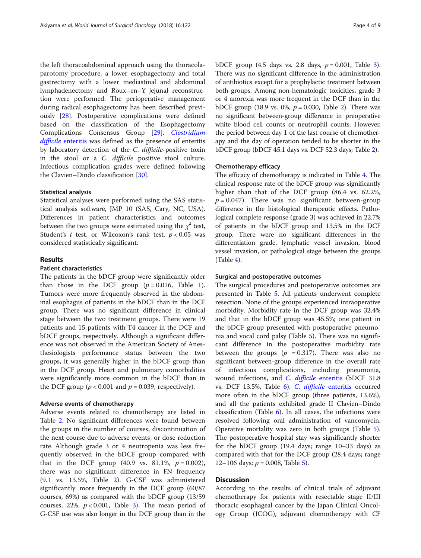the left thoracoabdominal approach using the thoracolaparotomy procedure, a lower esophagectomy and total gastrectomy with a lower mediastinal and abdominal lymphadenectomy and Roux–en–Y jejunal reconstruction were performed. The perioperative management during radical esophagectomy has been described previously [[28](#page-8-0)]. Postoperative complications were defined based on the classification of the Esophagectomy Complications Consensus Group [\[29](#page-8-0)]. [Clostridium](https://www.ncbi.nlm.nih.gov/pubmed/17390162) difficile [enteritis](https://www.ncbi.nlm.nih.gov/pubmed/17390162) was defined as the presence of enteritis by laboratory detection of the C. difficile-positive toxin in the stool or a C. difficile positive stool culture. Infectious complication grades were defined following the Clavien–Dindo classification [\[30](#page-8-0)].

# Statistical analysis

Statistical analyses were performed using the SAS statistical analysis software, JMP 10 (SAS, Cary, NC, USA). Differences in patient characteristics and outcomes between the two groups were estimated using the  $\chi^2$  test, Student's  $t$  test, or Wilcoxon's rank test.  $p < 0.05$  was considered statistically significant.

# Results

# Patient characteristics

The patients in the bDCF group were significantly older than those in the DCF group  $(p = 0.016,$  $(p = 0.016,$  $(p = 0.016,$  Table 1). Tumors were more frequently observed in the abdominal esophagus of patients in the bDCF than in the DCF group. There was no significant difference in clinical stage between the two treatment groups. There were 19 patients and 15 patients with T4 cancer in the DCF and bDCF groups, respectively. Although a significant difference was not observed in the American Society of Anesthesiologists performance status between the two groups, it was generally higher in the bDCF group than in the DCF group. Heart and pulmonary comorbidities were significantly more common in the bDCF than in the DCF group ( $p < 0.001$  and  $p = 0.039$ , respectively).

# Adverse events of chemotherapy

Adverse events related to chemotherapy are listed in Table [2.](#page-4-0) No significant differences were found between the groups in the number of courses, discontinuation of the next course due to adverse events, or dose reduction rate. Although grade 3 or 4 neutropenia was less frequently observed in the bDCF group compared with that in the DCF group (40.9 vs. 81.1%,  $p = 0.002$ ), there was no significant difference in FN frequency (9.1 vs. 13.5%, Table [2\)](#page-4-0). G-CSF was administered significantly more frequently in the DCF group (60/87 courses, 69%) as compared with the bDCF group (13/59 courses, 22%,  $p < 0.001$ , Table [3](#page-4-0)). The mean period of G-CSF use was also longer in the DCF group than in the

bDCF group (4.5 days vs. 2.8 days,  $p = 0.001$ , Table [3](#page-4-0)). There was no significant difference in the administration of antibiotics except for a prophylactic treatment between both groups. Among non-hematologic toxicities, grade 3 or 4 anorexia was more frequent in the DCF than in the bDCF group (18.9 vs. 0%,  $p = 0.030$ , Table [2\)](#page-4-0). There was no significant between-group difference in preoperative white blood cell counts or neutrophil counts. However, the period between day 1 of the last course of chemotherapy and the day of operation tended to be shorter in the bDCF group (bDCF 45.1 days vs. DCF 52.3 days; Table [2\)](#page-4-0).

#### Chemotherapy efficacy

The efficacy of chemotherapy is indicated in Table [4](#page-5-0). The clinical response rate of the bDCF group was significantly higher than that of the DCF group (86.4 vs. 62.2%,  $p = 0.047$ ). There was no significant between-group difference in the histological therapeutic effects. Pathological complete response (grade 3) was achieved in 22.7% of patients in the bDCF group and 13.5% in the DCF group. There were no significant differences in the differentiation grade, lymphatic vessel invasion, blood vessel invasion, or pathological stage between the groups (Table [4\)](#page-5-0).

# Surgical and postoperative outcomes

The surgical procedures and postoperative outcomes are presented in Table [5.](#page-5-0) All patients underwent complete resection. None of the groups experienced intraoperative morbidity. Morbidity rate in the DCF group was 32.4% and that in the bDCF group was 45.5%; one patient in the bDCF group presented with postoperative pneumonia and vocal cord palsy (Table [5](#page-5-0)). There was no significant difference in the postoperative morbidity rate between the groups ( $p = 0.317$ ). There was also no significant between-group difference in the overall rate of infectious complications, including pneumonia, wound infections, and C. difficile [enteritis](https://www.ncbi.nlm.nih.gov/pubmed/17390162) (bDCF 31.8 vs. DCF 13.5%, Table [6](#page-6-0)). C. difficile [enteritis](https://www.ncbi.nlm.nih.gov/pubmed/17390162) occurred more often in the bDCF group (three patients, 13.6%), and all the patients exhibited grade II Clavien–Dindo classification (Table [6](#page-6-0)). In all cases, the infections were resolved following oral administration of vancomycin. Operative mortality was zero in both groups (Table [5](#page-5-0)). The postoperative hospital stay was significantly shorter for the bDCF group (19.4 days; range 10–33 days) as compared with that for the DCF group (28.4 days; range 12–106 days;  $p = 0.008$ , Table [5](#page-5-0)).

# **Discussion**

According to the results of clinical trials of adjuvant chemotherapy for patients with resectable stage II/III thoracic esophageal cancer by the Japan Clinical Oncology Group (JCOG), adjuvant chemotherapy with CF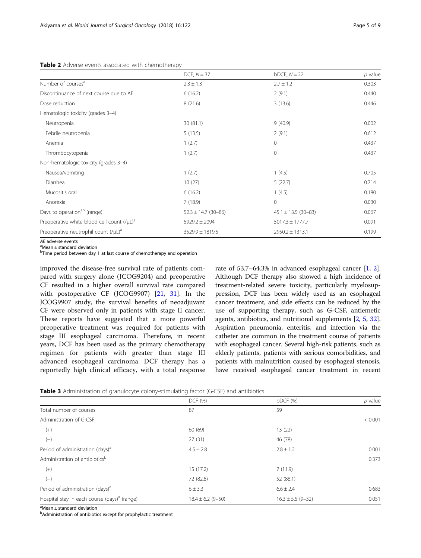# <span id="page-4-0"></span>Table 2 Adverse events associated with chemotherapy

|                                                  | DCF, $N = 37$           | $b$ DCF, $N = 22$       | $p$ value |
|--------------------------------------------------|-------------------------|-------------------------|-----------|
| Number of courses <sup>a</sup>                   | $2.3 \pm 1.3$           | $2.7 \pm 1.2$           | 0.303     |
| Discontinuance of next course due to AE          | 6(16.2)                 | 2(9.1)                  | 0.440     |
| Dose reduction                                   | 8(21.6)                 | 3(13.6)                 | 0.446     |
| Hematologic toxicity (grades 3-4)                |                         |                         |           |
| Neutropenia                                      | 30(81.1)                | 9(40.9)                 | 0.002     |
| Febrile neutropenia                              | 5(13.5)                 | 2(9.1)                  | 0.612     |
| Anemia                                           | 1(2.7)                  | $\mathbf{0}$            | 0.437     |
| Thrombocytopenia                                 | 1(2.7)                  | $\mathbf{0}$            | 0.437     |
| Non-hematologic toxicity (grades 3-4)            |                         |                         |           |
| Nausea/vomiting                                  | 1(2.7)                  | 1(4.5)                  | 0.705     |
| Diarrhea                                         | 10(27)                  | 5(22.7)                 | 0.714     |
| Mucositis oral                                   | 6(16.2)                 | 1(4.5)                  | 0.180     |
| Anorexia                                         | 7(18.9)                 | $\mathbf{0}$            | 0.030     |
| Days to operation <sup>ab</sup> (range)          | $52.3 \pm 14.7$ (30-86) | $45.1 \pm 13.5$ (30-83) | 0.067     |
| Preoperative white blood cell count $(V\mu L)^a$ | $5929.2 \pm 2094$       | $5017.3 \pm 1777.7$     | 0.091     |
| Preoperative neutrophil count $(V\mu L)^d$       | $3529.9 \pm 1819.5$     | $2950.2 \pm 1313.1$     | 0.199     |

AE adverse events  $^{\circ}$ Mean  $\pm$  standard deviation

<sup>b</sup>Time period between day 1 at last course of chemotherapy and operation

improved the disease-free survival rate of patients compared with surgery alone (JCOG9204) and preoperative CF resulted in a higher overall survival rate compared with postoperative CF (JCOG9907) [[21,](#page-7-0) [31](#page-8-0)]. In the JCOG9907 study, the survival benefits of neoadjuvant CF were observed only in patients with stage II cancer. These reports have suggested that a more powerful preoperative treatment was required for patients with stage III esophageal carcinoma. Therefore, in recent years, DCF has been used as the primary chemotherapy regimen for patients with greater than stage III advanced esophageal carcinoma. DCF therapy has a reportedly high clinical efficacy, with a total response

rate of 53.7–64.3% in advanced esophageal cancer [[1,](#page-7-0) [2](#page-7-0)]. Although DCF therapy also showed a high incidence of treatment-related severe toxicity, particularly myelosuppression, DCF has been widely used as an esophageal cancer treatment, and side effects can be reduced by the use of supporting therapy, such as G-CSF, antiemetic agents, antibiotics, and nutritional supplements [\[2](#page-7-0), [5](#page-7-0), [32](#page-8-0)]. Aspiration pneumonia, enteritis, and infection via the catheter are common in the treatment course of patients with esophageal cancer. Several high-risk patients, such as elderly patients, patients with serious comorbidities, and patients with malnutrition caused by esophageal stenosis, have received esophageal cancer treatment in recent

| Table 3 Administration of granulocyte colony-stimulating factor (G-CSF) and antibiotics |  |  |  |  |
|-----------------------------------------------------------------------------------------|--|--|--|--|
|-----------------------------------------------------------------------------------------|--|--|--|--|

|                                                          | DCF (%)               | bDCF(%)               | $p$ value |
|----------------------------------------------------------|-----------------------|-----------------------|-----------|
| Total number of courses                                  | 87                    | 59                    |           |
| Administration of G-CSF                                  |                       |                       | < 0.001   |
| $(+)$                                                    | 60 (69)               | 13 (22)               |           |
| $(-)$                                                    | 27(31)                | 46 (78)               |           |
| Period of administration (days) <sup>a</sup>             | $4.5 \pm 2.8$         | $2.8 \pm 1.2$         | 0.001     |
| Administration of antibiotics <sup>b</sup>               |                       |                       | 0.373     |
| $(+)$                                                    | 15(17.2)              | 7(11.9)               |           |
| $(-)$                                                    | 72 (82.8)             | 52 (88.1)             |           |
| Period of administration (days) <sup>a</sup>             | 6 ± 3.3               | $6.6 \pm 2.4$         | 0.683     |
| Hospital stay in each course (days) <sup>a</sup> (range) | $18.4 \pm 6.2$ (9-50) | $16.3 \pm 5.5$ (9-32) | 0.051     |

<sup>a</sup>Mean ± standard deviation

**b**Administration of antibiotics except for prophylactic treatment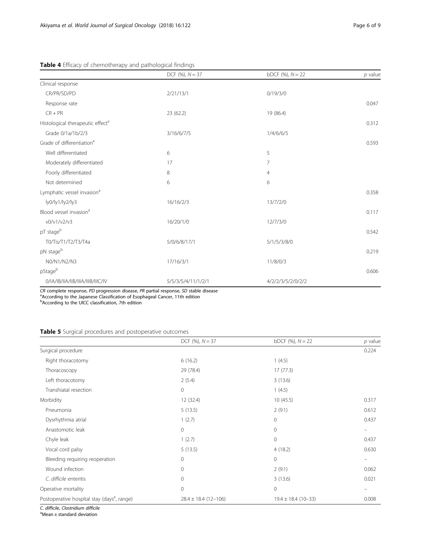# <span id="page-5-0"></span>Table 4 Efficacy of chemotherapy and pathological findings

|                                              | DCF $(\%)$ , $N = 37$ | bDCF $(\%)$ , $N = 22$ | $p$ value |
|----------------------------------------------|-----------------------|------------------------|-----------|
| Clinical response                            |                       |                        |           |
| CR/PR/SD/PD                                  | 2/21/13/1             | 0/19/3/0               |           |
| Response rate                                |                       |                        | 0.047     |
| $CR + PR$                                    | 23 (62.2)             | 19 (86.4)              |           |
| Histological therapeutic effect <sup>a</sup> |                       |                        | 0.312     |
| Grade 0/1a/1b/2/3                            | 3/16/6/7/5            | 1/4/6/6/5              |           |
| Grade of differentiation <sup>a</sup>        |                       |                        | 0.593     |
| Well differentiated                          | 6                     | 5                      |           |
| Moderately differentiated                    | 17                    | 7                      |           |
| Poorly differentiated                        | 8                     | 4                      |           |
| Not determined                               | 6                     | 6                      |           |
| Lymphatic vessel invasion <sup>a</sup>       |                       |                        | 0.358     |
| ly0/ly1/ly2/ly3                              | 16/16/2/3             | 13/7/2/0               |           |
| Blood vessel invasion <sup>a</sup>           |                       |                        | 0.117     |
| v0/v1/v2/v3                                  | 16/20/1/0             | 12/7/3/0               |           |
| pT stageb                                    |                       |                        | 0.542     |
| T0/Tis/T1/T2/T3/T4a                          | 5/0/6/8/17/1          | 5/1/5/3/8/0            |           |
| pN stageb                                    |                       |                        | 0.219     |
| N0/N1/N2/N3                                  | 17/16/3/1             | 11/8/0/3               |           |
| pStageb                                      |                       |                        | 0.606     |
| 0/IA/IB/IIA/IIB/IIIA/IIIB/IIIC/IV            | 5/5/3/5/4/11/1/2/1    | 4/2/2/3/5/2/0/2/2      |           |

CR complete response, PD progression disease, PR partial response, SD stable disease<br><sup>a</sup>According to the Japanese Classification of Esophageal Cancer, 11th edition

**b** According to the UICC classification, 7th edition

# Table 5 Surgical procedures and postoperative outcomes

|                                                         | DCF $(\%)$ , $N = 37$    | bDCF $(\%)$ , $N = 22$  | $p$ value |
|---------------------------------------------------------|--------------------------|-------------------------|-----------|
| Surgical procedure                                      |                          |                         | 0.224     |
| Right thoracotomy                                       | 6(16.2)                  | 1(4.5)                  |           |
| Thoracoscopy                                            | 29 (78.4)                | 17(77.3)                |           |
| Left thoracotomy                                        | 2(5.4)                   | 3(13.6)                 |           |
| Transhiatal resection                                   | $\circ$                  | 1(4.5)                  |           |
| Morbidity                                               | 12 (32.4)                | 10(45.5)                | 0.317     |
| Pneumonia                                               | 5(13.5)                  | 2(9.1)                  | 0.612     |
| Dysrhythmia atrial                                      | 1(2.7)                   | $\mathbf{0}$            | 0.437     |
| Anastomotic leak                                        | $\circ$                  | $\mathbf{0}$            |           |
| Chyle leak                                              | 1(2.7)                   | $\mathbf{0}$            | 0.437     |
| Vocal cord palsy                                        | 5(13.5)                  | 4(18.2)                 | 0.630     |
| Bleeding requiring reoperation                          | $\mathbf{0}$             | $\mathbf{0}$            |           |
| Wound infection                                         | $\mathbf{0}$             | 2(9.1)                  | 0.062     |
| C. difficile enteritis                                  | $\mathbf{0}$             | 3(13.6)                 | 0.021     |
| Operative mortality                                     | $\mathbf{0}$             | $\mathbf 0$             |           |
| Postoperative hospital stay (days <sup>a</sup> , range) | $28.4 \pm 18.4$ (12-106) | $19.4 \pm 18.4$ (10-33) | 0.008     |

C. difficile, Clostridium difficile

 $^{\text{a}}$ Mean  $\pm$  standard deviation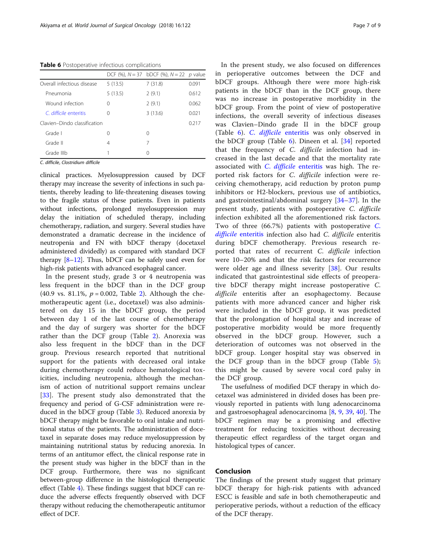<span id="page-6-0"></span>Table 6 Postoperative infectious complications

|                              |         | DCF (%), $N = 37$ bDCF (%), $N = 22$ p value |       |
|------------------------------|---------|----------------------------------------------|-------|
| Overall infectious disease   | 5(13.5) | 7(31.8)                                      | 0.091 |
| Pneumonia                    | 5(13.5) | 2(9.1)                                       | 0.612 |
| Wound infection              | 0       | 2(9.1)                                       | 0.062 |
| $\int$ difficile enteritis   | ∩       | 3(13.6)                                      | 0.021 |
| Clavien-Dindo classification |         |                                              | 0.217 |
| Grade I                      | 0       | 0                                            |       |
| Grade II                     | 4       | 7                                            |       |
| Grade IIIb                   |         | 0                                            |       |

C. difficile, Clostridium difficile

clinical practices. Myelosuppression caused by DCF therapy may increase the severity of infections in such patients, thereby leading to life-threatening diseases towing to the fragile status of these patients. Even in patients without infections, prolonged myelosuppression may delay the initiation of scheduled therapy, including chemotherapy, radiation, and surgery. Several studies have demonstrated a dramatic decrease in the incidence of neutropenia and FN with bDCF therapy (docetaxel administered dividedly) as compared with standard DCF therapy [[8](#page-7-0)–[12\]](#page-7-0). Thus, bDCF can be safely used even for high-risk patients with advanced esophageal cancer.

In the present study, grade 3 or 4 neutropenia was less frequent in the bDCF than in the DCF group (40.9 vs. 81.1%,  $p = 0.002$ , Table [2\)](#page-4-0). Although the chemotherapeutic agent (i.e., docetaxel) was also administered on day 15 in the bDCF group, the period between day 1 of the last course of chemotherapy and the day of surgery was shorter for the bDCF rather than the DCF group (Table [2\)](#page-4-0). Anorexia was also less frequent in the bDCF than in the DCF group. Previous research reported that nutritional support for the patients with decreased oral intake during chemotherapy could reduce hematological toxicities, including neutropenia, although the mechanism of action of nutritional support remains unclear [[33\]](#page-8-0). The present study also demonstrated that the frequency and period of G-CSF administration were reduced in the bDCF group (Table [3\)](#page-4-0). Reduced anorexia by bDCF therapy might be favorable to oral intake and nutritional status of the patients. The administration of docetaxel in separate doses may reduce myelosuppression by maintaining nutritional status by reducing anorexia. In terms of an antitumor effect, the clinical response rate in the present study was higher in the bDCF than in the DCF group. Furthermore, there was no significant between-group difference in the histological therapeutic effect (Table [4](#page-5-0)). These findings suggest that bDCF can reduce the adverse effects frequently observed with DCF therapy without reducing the chemotherapeutic antitumor effect of DCF.

In the present study, we also focused on differences in perioperative outcomes between the DCF and bDCF groups. Although there were more high-risk patients in the bDCF than in the DCF group, there was no increase in postoperative morbidity in the bDCF group. From the point of view of postoperative infections, the overall severity of infectious diseases was Clavien–Dindo grade II in the bDCF group (Table 6). C. difficile [enteritis](https://www.ncbi.nlm.nih.gov/pubmed/17390162) was only observed in the bDCF group (Table 6). Dineen et al. [[34\]](#page-8-0) reported that the frequency of C. difficile infection had increased in the last decade and that the mortality rate associated with C. difficile [enteritis](https://www.ncbi.nlm.nih.gov/pubmed/17390162) was high. The reported risk factors for C. difficile infection were receiving chemotherapy, acid reduction by proton pump inhibitors or H2-blockers, previous use of antibiotics, and gastrointestinal/abdominal surgery [\[34](#page-8-0)–[37](#page-8-0)]. In the present study, patients with postoperative C. difficile infection exhibited all the aforementioned risk factors. Two of three  $(66.7%)$  patients with postoperative [C](https://www.ncbi.nlm.nih.gov/pubmed/17390162). difficile [enteritis](https://www.ncbi.nlm.nih.gov/pubmed/17390162) infection also had C. difficile enteritis during bDCF chemotherapy. Previous research reported that rates of recurrent C. difficile infection were 10–20% and that the risk factors for recurrence were older age and illness severity [[38\]](#page-8-0). Our results indicated that gastrointestinal side effects of preoperative bDCF therapy might increase postoperative C. difficile enteritis after an esophagectomy. Because patients with more advanced cancer and higher risk were included in the bDCF group, it was predicted that the prolongation of hospital stay and increase of postoperative morbidity would be more frequently observed in the bDCF group. However, such a deterioration of outcomes was not observed in the bDCF group. Longer hospital stay was observed in the DCF group than in the bDCF group (Table [5](#page-5-0)); this might be caused by severe vocal cord palsy in the DCF group.

The usefulness of modified DCF therapy in which docetaxel was administered in divided doses has been previously reported in patients with lung adenocarcinoma and gastroesophageal adenocarcinoma [[8,](#page-7-0) [9,](#page-7-0) [39,](#page-8-0) [40\]](#page-8-0). The bDCF regimen may be a promising and effective treatment for reducing toxicities without decreasing therapeutic effect regardless of the target organ and histological types of cancer.

# Conclusion

The findings of the present study suggest that primary bDCF therapy for high-risk patients with advanced ESCC is feasible and safe in both chemotherapeutic and perioperative periods, without a reduction of the efficacy of the DCF therapy.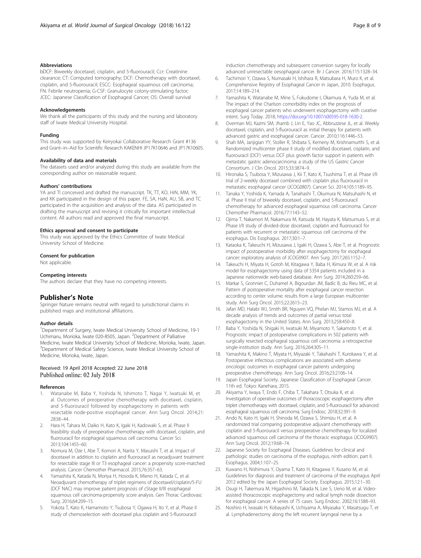<span id="page-7-0"></span>bDCF: Biweekly docetaxel, cisplatin, and 5-fluorouracil; Ccr: Creatinine clearance; CT: Computed tomography; DCF: Chemotherapy with docetaxel, cisplatin, and 5-fluorouracil; ESCC: Esophageal squamous cell carcinoma; FN: Febrile neutropenia; G-CSF: Granulocyte colony-stimulating factor; JCEC: Japanese Classification of Esophageal Cancer; OS: Overall survival

#### Acknowledgements

We thank all the participants of this study and the nursing and laboratory staff of Iwate Medical University Hospital.

## Funding

This study was supported by Keiryokai Collaborative Research Grant #136 and Grant–in–Aid for Scientific Research KAKENHI JP17K10646 and JP17K10605.

#### Availability of data and materials

The datasets used and/or analyzed during this study are available from the corresponding author on reasonable request.

#### Authors' contributions

YA and TI conceived and drafted the manuscript. TK, TT, KO, HiN, MM, YK, and KK participated in the design of this paper. FE, SA, HaN, AU, SB, and TC participated in the acquisition and analysis of the data. AS participated in drafting the manuscript and revising it critically for important intellectual content. All authors read and approved the final manuscript.

## Ethics approval and consent to participate

This study was approved by the Ethics Committee of Iwate Medical University School of Medicine.

## Consent for publication

Not applicable.

#### Competing interests

The authors declare that they have no competing interests.

# Publisher's Note

Springer Nature remains neutral with regard to jurisdictional claims in published maps and institutional affiliations.

#### Author details

<sup>1</sup>Department of Surgery, Iwate Medical University School of Medicine, 19-1 Uchimaru, Morioka, Iwate 020-8505, Japan. <sup>2</sup>Department of Palliative Medicine, Iwate Medical University School of Medicine, Morioka, Iwate, Japan. <sup>3</sup>Department of Medical Safety Science, Iwate Medical University School of Medicine, Morioka, Iwate, Japan.

#### Received: 19 April 2018 Accepted: 22 June 2018 Published online: 02 July 2018

#### References

- 1. Watanabe M, Baba Y, Yoshida N, Ishimoto T, Nagai Y, Iwatsuki M, et al. Outcomes of preoperative chemotherapy with docetaxel, cisplatin, and 5-fluorouracil followed by esophagectomy in patients with resectable node-positive esophageal cancer. Ann Surg Oncol. 2014;21: 2838–44.
- 2. Hara H, Tahara M, Daiko H, Kato K, Igaki H, Kadowaki S, et al. Phase II feasibility study of preoperative chemotherapy with docetaxel, cisplatin, and fluorouracil for esophageal squamous cell carcinoma. Cancer Sci. 2013;104:1455–60.
- 3. Nomura M, Oze I, Abe T, Komori A, Narita Y, Masuishi T, et al. Impact of docetaxel in addition to cisplatin and fluorouracil as neoadjuvant treatment for resectable stage III or T3 esophageal cancer: a propensity score-matched analysis. Cancer Chemother Pharmacol. 2015;76:357–63.
- 4. Yamashita K, Katada N, Moriya H, Hosoda K, Mieno H, Katada C, et al. Neoadjuvant chemotherapy of triplet regimens of docetaxel/cisplatin/5-FU (DCF NAC) may improve patient prognosis of cStage II/III esophageal squamous cell carcinoma-propensity score analysis. Gen Thorac Cardiovasc Surg. 2016;64:209–15.
- Yokota T, Kato K, Hamamoto Y, Tsubosa Y, Ogawa H, Ito Y, et al. Phase II study of chemoselection with docetaxel plus cisplatin and 5-fluorouracil
- 6. Tachimori Y, Ozawa S, Numasaki H, Ishihara R, Matsubara H, Muro K, et al. Comprehensive Registry of Esophageal Cancer in Japan, 2010. Esophagus. 2017;14:189–214.
- 7. Yamashita K, Watanabe M, Mine S, Fukudome I, Okamura A, Yuda M, et al. The impact of the Charlson comorbidity index on the prognosis of esophageal cancer patients who underwent esophagectomy with curative intent. Surg Today. 2018; [https://doi.org/10.1007/s00595-018-1630-2.](https://doi.org/10.1007/s00595-018-1630-2)
- 8. Overman MJ, Kazmi SM, Jhamb J, Lin E, Yao JC, Abbruzzese JL, et al. Weekly docetaxel, cisplatin, and 5-fluorouracil as initial therapy for patients with advanced gastric and esophageal cancer. Cancer. 2010;116:1446–53.
- 9. Shah MA, Janjigian YY, Stoller R, Shibata S, Kemeny M, Krishnamurthi S, et al. Randomized multicenter phase II study of modified docetaxel, cisplatin, and fluorouracil (DCF) versus DCF plus growth factor support in patients with metastatic gastric adenocarcinoma: a study of the US Gastric Cancer Consortium. J Clin Oncol. 2015;33:3874–9.
- 10. Hironaka S, Tsubosa Y, Mizusawa J, Kii T, Kato K, Tsushima T, et al. Phase I/II trial of 2-weekly docetaxel combined with cisplatin plus fluorouracil in metastatic esophageal cancer (JCOG0807). Cancer Sci. 2014;105:1189–95.
- 11. Tanaka Y, Yoshida K, Yamada A, Tanahashi T, Okumura N, Matsuhashi N, et al. Phase II trial of biweekly docetaxel, cisplatin, and 5-fluorouracil chemotherapy for advanced esophageal squamous cell carcinoma. Cancer Chemother Pharmacol. 2016;77:1143–52.
- 12. Ojima T, Nakamori M, Nakamura M, Katsuda M, Hayata K, Matsumura S, et al. Phase I/II study of divided-dose docetaxel, cisplatin and fluorouracil for patients with recurrent or metastatic squamous cell carcinoma of the esophagus. Dis Esophagus. 2017;30:1–7.
- 13. Kataoka K, Takeuchi H, Mizusawa J, Igaki H, Ozawa S, Abe T, et al. Prognostic impact of postoperative morbidity after esophagectomy for esophageal cancer: exploratory analysis of JCOG9907. Ann Surg. 2017;265:1152–7.
- 14. Takeuchi H, Miyata H, Gotoh M, Kitagawa Y, Baba H, Kimura W, et al. A risk model for esophagectomy using data of 5354 patients included in a Japanese nationwide web-based database. Ann Surg. 2014;260:259–66.
- 15. Markar S, Gronnier C, Duhamel A, Bigourdan JM, Badic B, du Rieu MC, et al. Pattern of postoperative mortality after esophageal cancer resection according to center volume: results from a large European multicenter study. Ann Surg Oncol. 2015;22:2615–23.
- 16. Jafari MD, Halabi WJ, Smith BR, Nguyen VQ, Phelan MJ, Stamos MJ, et al. A decade analysis of trends and outcomes of partial versus total esophagectomy in the United States. Ann Surg. 2013;258:450–8.
- 17. Baba Y, Yoshida N, Shigaki H, Iwatsuki M, Miyamoto Y, Sakamoto Y, et al. Prognostic impact of postoperative complications in 502 patients with surgically resected esophageal squamous cell carcinoma: a retrospective single-institution study. Ann Surg. 2016;264:305–11.
- 18. Yamashita K, Makino T, Miyata H, Miyazaki Y, Takahashi T, Kurokawa Y, et al. Postoperative infectious complications are associated with adverse oncologic outcomes in esophageal cancer patients undergoing preoperative chemotherapy. Ann Surg Oncol. 2016;23:2106–14.
- 19. Japan Esophageal Society. Japanese Classification of Esophageal Cancer. 11th ed. Tokyo: Kanehara; 2015.
- 20. Akiyama Y, Iwaya T, Endo F, Chiba T, Takahara T, Otsuka K, et al. Investigation of operative outcomes of thoracoscopic esophagectomy after triplet chemotherapy with docetaxel, cisplatin, and 5-fluorouracil for advanced esophageal squamous cell carcinoma. Surg Endosc. 2018;32:391–9.
- 21. Ando N, Kato H, Igaki H, Shinoda M, Ozawa S, Shimizu H, et al. A randomized trial comparing postoperative adjuvant chemotherapy with cisplatin and 5-fluorouracil versus preoperative chemotherapy for localized advanced squamous cell carcinoma of the thoracic esophagus (JCOG9907). Ann Surg Oncol. 2012;19:68–74.
- 22. Japanese Society for Esophageal Diseases. Guidelines for clinical and pathologic studies on carcinoma of the esophagus, ninth edition: part II. Esophagus. 2004;1:107–25.
- 23. Kuwano H, Nishimura Y, Oyama T, Kato H, Kitagawa Y, Kusano M, et al. Guidelines for diagnosis and treatment of carcinoma of the esophagus April 2012 edited by the Japan Esophageal Society. Esophagus. 2015;12:1–30.
- 24. Osugi H, Takemura M, Higashino M, Takada N, Lee S, Ueno M, et al. Videoassisted thoracoscopic esophagectomy and radical lymph node dissection for esophageal cancer. A series of 75 cases. Surg Endosc. 2002;16:1588–93.
- 25. Noshiro H, Iwasaki H, Kobayashi K, Uchiyama A, Miyasaka Y, Masatsugu T, et al. Lymphadenectomy along the left recurrent laryngeal nerve by a